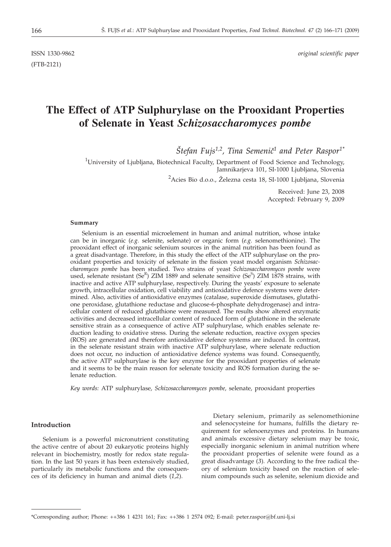(FTB-2121)

# **The Effect of ATP Sulphurylase on the Prooxidant Properties of Selenate in Yeast** *Schizosaccharomyces pombe*

 $\widetilde{S}$ tefan Fujs<sup>1,2</sup>, Tina Semenič<sup>1</sup> and Peter Raspor<sup>1\*</sup>

<sup>1</sup>University of Ljubljana, Biotechnical Faculty, Department of Food Science and Technology, Jamnikarjeva 101, SI-1000 Ljubljana, Slovenia

<sup>2</sup>Acies Bio d.o.o., Železna cesta 18, SI-1000 Ljubljana, Slovenia

Received: June 23, 2008 Accepted: February 9, 2009

#### **Summary**

Selenium is an essential microelement in human and animal nutrition, whose intake can be in inorganic (*e.g.* selenite, selenate) or organic form (*e.g.* selenomethionine). The prooxidant effect of inorganic selenium sources in the animal nutrition has been found as a great disadvantage. Therefore, in this study the effect of the ATP sulphurylase on the prooxidant properties and toxicity of selenate in the fission yeast model organism *Schizosaccharomyces pombe* has been studied. Two strains of yeast *Schizosaccharomyces pombe* were used, selenate resistant (Se<sup>R</sup>) ZIM 1889 and selenate sensitive (Se<sup>S</sup>) ZIM 1878 strains, with inactive and active ATP sulphurylase, respectively. During the yeasts' exposure to selenate growth, intracellular oxidation, cell viability and antioxidative defence systems were determined. Also, activities of antioxidative enzymes (catalase, superoxide dismutases, glutathione peroxidase, glutathione reductase and glucose-6-phosphate dehydrogenase) and intracellular content of reduced glutathione were measured. The results show altered enzymatic activities and decreased intracellular content of reduced form of glutathione in the selenate sensitive strain as a consequence of active ATP sulphurylase, which enables selenate reduction leading to oxidative stress. During the selenate reduction, reactive oxygen species (ROS) are generated and therefore antioxidative defence systems are induced. In contrast, in the selenate resistant strain with inactive ATP sulphurylase, where selenate reduction does not occur, no induction of antioxidative defence systems was found. Consequently, the active ATP sulphurylase is the key enzyme for the prooxidant properties of selenate and it seems to be the main reason for selenate toxicity and ROS formation during the selenate reduction.

*Key words:* ATP sulphurylase*, Schizosaccharomyces pombe,* selenate*,* prooxidant properties

## **Introduction**

Selenium is a powerful micronutrient constituting the active centre of about 20 eukaryotic proteins highly relevant in biochemistry, mostly for redox state regulation. In the last 50 years it has been extensively studied, particularly its metabolic functions and the consequences of its deficiency in human and animal diets (*1*,*2*).

Dietary selenium, primarily as selenomethionine and selenocysteine for humans, fulfills the dietary requirement for selenoenzymes and proteins. In humans and animals excessive dietary selenium may be toxic, especially inorganic selenium in animal nutrition where the prooxidant properties of selenite were found as a great disadvantage (*3*). According to the free radical theory of selenium toxicity based on the reaction of selenium compounds such as selenite, selenium dioxide and

<sup>\*</sup>Corresponding author; Phone: ++386 1 4231 161; Fax: ++386 1 2574 092; E-mail: peter.raspor*@*bf.uni-lj.si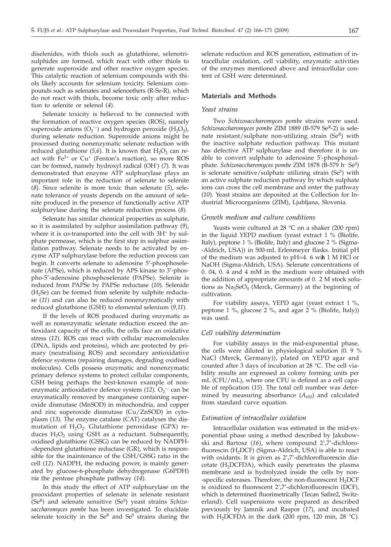diselenides, with thiols such as glutathione, selenotrisulphides are formed, which react with other thiols to generate superoxide and other reactive oxygen species. This catalytic reaction of selenium compounds with thiols likely accounts for selenium toxicity. Selenium compounds such as selenates and selenoethers (R-Se-R), which do not react with thiols, become toxic only after reduction to selenite or selenol (*4*).

Selenate toxicity is believed to be connected with the formation of reactive oxygen species (ROS), namely superoxide anions  $(O_2^-)$  and hydrogen peroxide  $(H_2O_2)$ , during selenate reduction. Superoxide anions might be processed during nonenzymatic selenate reduction with reduced glutathione  $(5,6)$ . It is known that  $H_2O_2$  can react with  $Fe^{2+}$  or  $Cu^{+}$  (Fenton's reaction), so more ROS can be formed, namely hydroxyl radical (OH· ) (*7*). It was demonstrated that enzyme ATP sulphurylase plays an important role in the reduction of selenate to selenite (*8*). Since selenite is more toxic than selenate (*5*), selenate tolerance of yeasts depends on the amount of selenite produced in the presence of functionally active ATP sulphurylase during the selenate reduction process (*8*).

Selenate has similar chemical properties as sulphate, so it is assimilated by sulphur assimilation pathway (*9*), where it is co-transported into the cell with  $3H<sup>+</sup>$  by sulphate permease, which is the first step in sulphur assimilation pathway. Selenate needs to be activated by enzyme ATP sulphurylase before the reduction process can begin. It converts selenate to adenosine 5'-phosphoselenate (APSe), which is reduced by APS kinase to 3'-phospho-5'-adenosine phosphoselenate (PAPSe). Selenite is reduced from PAPSe by PAPSe reductase (*10*). Selenide  $(H<sub>2</sub>Se)$  can be formed from selenite by sulphite reductase (*11*) and can also be reduced nonenzymatically with reduced glutathione (GSH) to elemental selenium (*9,11*).

If the levels of ROS produced during enzymatic as well as nonenzymatic selenate reduction exceed the antioxidant capacity of the cells, the cells face an oxidative stress (*12*). ROS can react with cellular macromolecules (DNA, lipids and proteins), which are protected by primary (neutralising ROS) and secondary antioxidative defence systems (repairing damages, degrading oxidised molecules). Cells possess enzymatic and nonenzymatic primary defence systems to protect cellular components, GSH being perhaps the best-known example of nonenzymatic antioxidative defence system (12). O<sub>2</sub><sup>-</sup> can be enzymatically removed by manganese containing superoxide dismutase (MnSOD) in mitochondria, and copper and zinc superoxide dismutase (Cu/ZnSOD) in cytoplasm (*13*). The enzyme catalase (CAT) catalyses the dismutation of  $H_2O_2$ . Glutathione peroxidase (GPX) reduces  $H_2O_2$  using GSH as a reductant. Subsequently, oxidised glutathione (GSSG) can be reduced by NADPH- -dependent glutathione reductase (GR), which is responsible for the maintenance of the GSH/GSSG ratio in the cell (*12*). NADPH, the reducing power, is mainly generated by glucose-6-phosphate dehydrogenase (G6PDH) *via* the pentose phosphate pathway (*14*).

In this study the effect of ATP sulphurylase on the prooxidant properties of selenate in selenate resistant (Se<sup>R</sup>) and selenate sensitive (Se<sup>S</sup>) yeast strains *Schizosaccharomyces pombe* has been investigated. To elucidate selenate toxicity in the  $Se^{R}$  and  $Se^{S}$  strains during the

selenate reduction and ROS generation, estimation of intracellular oxidation, cell viability, enzymatic activities of the enzymes mentioned above and intracellular content of GSH were determined.

## **Materials and Methods**

## *Yeast strains*

Two *Schizosaccharomyces pombe* strains were used. *Schizosaccharomyces pombe* ZIM 1889 (B-579 Se<sup>R</sup>-2) is selenate resistant/sulphate non-utilizing strain (SeR) with the inactive sulphate reduction pathway. This mutant has defective ATP sulphurylase and therefore it is unable to convert sulphate to adenosine 5'-phosphosulphate. *Schizosaccharomyces pombe* ZIM 1878 (B-579 h– SeS) is selenate sensitive/sulphate utilizing strain  $(Se<sup>S</sup>)$  with an active sulphate reduction pathway by which sulphate ions can cross the cell membrane and enter the pathway (*10*). Yeast strains are deposited at the Collection for Industrial Microorganisms (ZIM), Ljubljana, Slovenia.

#### *Growth medium and culture conditions*

Yeasts were cultured at  $28 \text{ °C}$  on a shaker (200 rpm) in the liquid YEPD medium (yeast extract 1 % (Biolife, Italy), peptone 1 % (Biolife, Italy) and glucose 2 % (Sigma- -Aldrich, USA)) in 500-mL Erlenmeyer flasks. Initial pH of the medium was adjusted to pH=4. 6 with 1 M HCl or NaOH (Sigma-Aldrich, USA). Selenate concentrations of 0. 04, 0. 4 and 4 mM in the medium were obtained with the addition of appropriate amounts of 0. 2 M stock solutions as  $Na<sub>2</sub>SeO<sub>4</sub>$  (Merck, Germany) at the beginning of cultivation.

For viability assays, YEPD agar (yeast extract 1 %, peptone 1 %, glucose 2 %, and agar 2 % (Biolife, Italy)) was used.

## *Cell viability determination*

For viability assays in the mid-exponential phase, the cells were diluted in physiological solution (0. 9 % NaCl (Merck, Germany)), plated on YEPD agar and counted after 3 days of incubation at 28 °C. The cell viability results are expressed as colony forming units per mL (CFU/mL), where one CFU is defined as a cell capable of replication (*15*). The total cell number was determined by measuring absorbance  $(A_{650})$  and calculated from standard curve equation.

#### *Estimation of intracellular oxidation*

Intracellular oxidation was estimated in the mid-exponential phase using a method described by Jakubowski and Bartosz (*16*), where compound 2',7'-dichlorofluorescin (H<sub>2</sub>DCF) (Sigma-Aldrich, USA) is able to react with oxidants. It is given as 2',7'-dichlorofluorescin diacetate ( $H_2$ DCFDA), which easily penetrates the plasma membrane and is hydrolyzed inside the cells by non- -specific esterases. Therefore, the non-fluorescent H<sub>2</sub>DCF is oxidized to fluorescent 2',7'-dichlorofluorescin (DCF), which is determined fluorimetrically (Tecan Safire2, Switzerland). Cell suspensions were prepared as described previously by Jamnik and Raspor (*17*), and incubated with H<sub>2</sub>DCFDA in the dark (200 rpm, 120 min, 28 °C).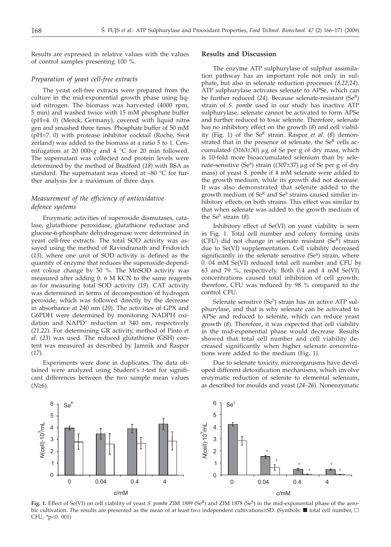Results are expressed in relative values with the values of control samples presenting 100 %.

## *Preparation of yeast cell-free extracts*

The yeast cell-free extracts were prepared from the culture in the mid-exponential growth phase using liquid nitrogen. The biomass was harvested (4000 rpm, 5 min) and washed twice with 15 mM phosphate buffer (pH=4. 0) (Merck, Germany), covered with liquid nitrogen and smashed three times. Phosphate buffer of 50 mM (pH=7. 0) with protease inhibitor cocktail (Roche, Switzerland) was added to the biomass at a ratio 5 to 1. Centrifugation at 20 000 $\times$ *g* and 4 °C for 20 min followed. The supernatant was collected and protein levels were determined by the method of Bradford (*18*) with BSA as standard. The supernatant was stored at –80 °C for further analysis for a maximum of three days.

## *Measurement of the efficiency of antioxidative defence systems*

Enzymatic activities of superoxide dismutases, catalase, glutathione peroxidase, glutathione reductase and glucose-6-phosphate dehydrogenase were determined in yeast cell-free extracts. The total SOD activity was assayed using the method of Ravindranath and Fridovich (*13*), where one unit of SOD activity is defined as the quantity of enzyme that reduces the superoxide-dependent colour change by 50 %. The MnSOD activity was measured after adding 0. 6 M KCN to the same reagents as for measuring total SOD activity (*19*). CAT activity was determined in terms of decomposition of hydrogen peroxide, which was followed directly by the decrease in absorbance at 240 nm (*20*). The activities of GPX and G6PDH were determined by monitoring NADPH oxidation and NAPD<sup>+</sup> reduction at 340 nm, respectively (*21,22*). For determining GR activity, method of Pinto *et al*. (*23*) was used. The reduced glutathione (GSH) content was measured as described by Jamnik and Raspor (*17*).

Experiments were done in duplicates. The data obtained were analyzed using Student's *t*-test for significant differences between the two sample mean values  $(N\geq 6)$ .

#### **Results and Discussion**

The enzyme ATP sulphurylase of sulphur assimilation pathway has an important role not only in sulphate, but also in selenate reduction processes (*8,22,24*). ATP sulphurylase activates selenate to APSe, which can be further reduced (*24*). Because selenate-resistant (SeR) strain of *S. pombe* used in our study has inactive ATP sulphurylase, selenate cannot be activated to form APSe and further reduced to toxic selenite. Therefore, selenate has no inhibitory effect on the growth (*8*) and cell viability (Fig. 1) of the Se<sup>R</sup> strain. Raspor *et al.* (8) demonstrated that in the presence of selenate, the  $Se<sup>R</sup>$  cells accumulated  $(3163±30) \mu g$  of Se per g of dry mass, which is 10-fold more bioaccumulated selenium than by selenate-sensitive (Se<sup>S</sup>) strain ((307 $\pm$ 37) µg of Se per g of dry mass) of yeast *S. pombe* if 4 mM selenate were added to the growth medium, while its growth did not decrease. It was also demonstrated that selenite added to the growth medium of  $\mathbf{Se}^R$  and  $\mathbf{Se}^S$  strains caused similar inhibitory effects on both strains. This effect was similar to that when selenate was added to the growth medium of the Se<sup>S</sup> strain  $(8)$ .

Inhibitory effect of Se(VI) on yeast viability is seen in Fig. 1. Total cell number and colony forming units (CFU) did not change in selenate resistant  $(Se<sup>R</sup>)$  strain due to Se(VI) supplementation. Cell viability decreased significantly in the selenate sensitive  $(Se<sup>S</sup>)$  strain, where 0. 04 mM Se(VI) reduced total cell number and CFU by 63 and 79 %, respectively. Both 0.4 and 4 mM Se(VI) concentrations caused total inhibition of cell growth; therefore, CFU was reduced by 98 % compared to the control CFU.

Selenate sensitive  $(Se^S)$  strain has an active ATP sulphurylase, and that is why selenate can be activated to APSe and reduced to selenite, which can reduce yeast growth (*8*). Therefore, it was expected that cell viability in the mid-exponential phase would decrease. Results showed that total cell number and cell viability decreased significantly when higher selenate concentrations were added to the medium (Fig. 1).

Due to selenate toxicity, microorganisms have developed different detoxification mechanisms, which involve enzymatic reduction of selenite to elemental selenium, as described for moulds and yeast (*24–26*). Nonenzymatic



Fig. 1. Effect of Se(VI) on cell viability of yeast *S. pombe* ZIM 1889 (Se<sup>R</sup>) and ZIM 1878 (Se<sup>S</sup>) in the mid-exponential phase of the aerobic cultivation. The results are presented as the mean of at least two independent cultivations±SD. (Symbols:  $\blacksquare$  total cell number,  $\Box$ CFU, \*p<0. 001)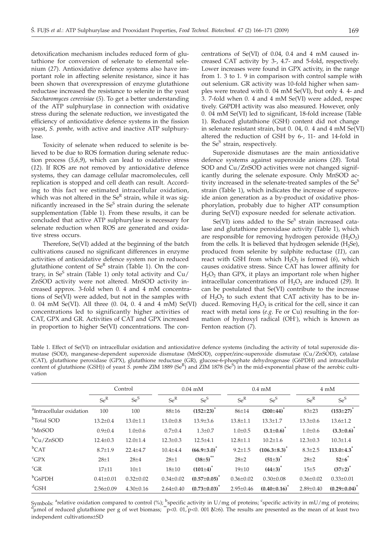detoxification mechanism includes reduced form of glutathione for conversion of selenate to elemental selenium (*27*). Antioxidative defence systems also have important role in affecting selenite resistance, since it has been shown that overexpression of enzyme glutathione reductase increased the resistance to selenite in the yeast *Saccharomyces cerevisiae* (*5*). To get a better understanding of the ATP sulphurylase in connection with oxidative stress during the selenate reduction, we investigated the efficiency of antioxidative defence systems in the fission yeast, *S. pombe,* with active and inactive ATP sulphurylase.

Toxicity of selenate when reduced to selenite is believed to be due to ROS formation during selenate reduction process (*5,6,9*), which can lead to oxidative stress (*12*). If ROS are not removed by antioxidative defence systems, they can damage cellular macromolecules, cell replication is stopped and cell death can result. According to this fact we estimated intracellular oxidation, which was not altered in the  $Se^{R}$  strain, while it was significantly increased in the  $Se<sup>S</sup>$  strain during the selenate supplementation (Table 1). From these results, it can be concluded that active ATP sulphurylase is necessary for selenate reduction when ROS are generated and oxidative stress occurs.

Therefore, Se(VI) added at the beginning of the batch cultivations caused no significant differences in enzyme activities of antioxidative defence system nor in reduced glutathione content of  $Se^{R}$  strain (Table 1). On the contrary, in Se<sup>S</sup> strain (Table 1) only total activity and  $Cu/$ ZnSOD activity were not altered. MnSOD activity increased approx. 3-fold when 0. 4 and 4 mM concentrations of Se(VI) were added, but not in the samples with 0. 04 mM Se(VI). All three (0. 04, 0. 4 and 4 mM) Se(VI) concentrations led to significantly higher activities of CAT, GPX and GR. Activities of CAT and GPX increased in proportion to higher Se(VI) concentrations. The con-

centrations of Se(VI) of 0.04, 0.4 and 4 mM caused increased CAT activity by 3-, 4.7- and 5-fold, respectively. Lower increases were found in GPX activity, in the range from 1. 3 to 1. 9 in comparison with control sample without selenium. GR activity was 10-fold higher when samples were treated with 0. 04 mM Se(VI), but only 4. 4- and 3. 7-fold when 0. 4 and 4 mM Se(VI) were added, respectively. G6PDH activity was also measured. However, only 0. 04 mM Se(VI) led to significant, 18-fold increase (Table 1). Reduced glutathione (GSH) content did not change in selenate resistant strain, but 0. 04, 0. 4 and 4 mM Se(VI) altered the reduction of GSH by 6-, 11- and 14-fold in the  $Se<sup>S</sup>$  strain, respectively.

Superoxide dismutases are the main antioxidative defence systems against superoxide anions (*28*). Total SOD and Cu/ZnSOD activities were not changed significantly during the selenate exposure. Only MnSOD activity increased in the selenate-treated samples of the Se<sup>S</sup> strain (Table 1), which indicates the increase of superoxide anion generation as a by-product of oxidative phosphorylation, probably due to higher ATP consumption during Se(VI) exposure needed for selenate activation.

Se(VI) ions added to the  $Se<sup>S</sup>$  strain increased catalase and glutathione peroxidase activity (Table 1), which are responsible for removing hydrogen peroxide  $(H_2O_2)$ from the cells. It is believed that hydrogen selenide  $(H<sub>2</sub>Se)$ , produced from selenite by sulphite reductase (*11*), can react with GSH from which  $H_2O_2$  is formed (6), which causes oxidative stress. Since CAT has lower affinity for  $H<sub>2</sub>O<sub>2</sub>$  than GPX, it plays an important role when higher intracellular concentrations of  $H_2O_2$  are induced (29). It can be postulated that Se(VI) contribute to the increase of  $H_2O_2$  to such extent that CAT activity has to be induced. Removing  $H_2O_2$  is critical for the cell, since it can react with metal ions (*e.g.* Fe or Cu) resulting in the formation of hydroxyl radical (OH·), which is known as Fenton reaction (*7*).

Table 1. Effect of Se(VI) on intracellular oxidation and antioxidative defence systems (including the activity of total superoxide dismutase (SOD), manganese*-*dependent superoxide dismutase (MnSOD), copper*/*zinc-superoxide dismutase (Cu/ZnSOD), catalase (CAT), glutathione peroxidase (GPX), glutathione reductase (GR), glucose-6-phosphate dehydrogenase (G6PDH) and intracellular content of glutathione (GSH)) of yeast *S. pombe* ZIM 1889 (Se<sup>R</sup>) and ZIM 1878 (Se<sup>S</sup>) in the mid-exponential phase of the aerobic cultivation

|                                      | Control         |                 | $0.04$ mM       |                             | $0.4 \text{ mM}$ |                           | $4 \text{ mM}$  |                           |
|--------------------------------------|-----------------|-----------------|-----------------|-----------------------------|------------------|---------------------------|-----------------|---------------------------|
|                                      | $Se^R$          | $Se^S$          | $Se^{R}$        | $Se^S$                      | $Se^R$           | $Se^S$                    | $Se^R$          | $Se^S$                    |
| <sup>a</sup> Intracellular oxidation | 100             | 100             | $88 + 16$       | $(152 \pm 23)^{^{\circ}}$   | $86 + 14$        | $(200 \pm 44)^{^{\circ}}$ | $83 + 23$       | $(153 \pm 27)^{^{\circ}}$ |
| <sup>b</sup> Total SOD               | $13.2 \pm 0.4$  | $13.0 \pm 1.1$  | $13.0 \pm 0.8$  | $13.9 \pm 3.6$              | $13.8 \pm 1.1$   | $13.3 \pm 1.7$            | $13.3 \pm 0.6$  | $13.6 \pm 1.2$            |
| $\mathrm{C}$ MnSOD                   | $0.9 \pm 0.4$   | $1.0 \pm 0.6$   | $0.7 \pm 0.4$   | $1.3 \pm 0.7$               | $1.0 \pm 0.5$    | $(3.1 \pm 0.6)^*$         | $1.0 \pm 0.6$   | $(3.3 \pm 0.6)^{\circ}$   |
| bCu/ZnSOD                            | $12.4 \pm 0.3$  | $12.0 \pm 1.4$  | $12.3 \pm 0.3$  | $12.5 \pm 4.1$              | $12.8 \pm 1.1$   | $10.2 \pm 1.6$            | $12.3 \pm 0.3$  | $10.3 \pm 1.4$            |
| $b$ CAT                              | $8.7 \pm 1.9$   | $22.4 \pm 4.7$  | $10.4 + 4.4$    | $(66.9 \pm 3.0)^*$          | $9.2 \pm 1.5$    | $(106.3 \pm 8.3)^*$       | $8.3 \pm 2.5$   | $113.0 \pm 4.3$           |
| ${}^{c}GPX$                          | $28 + 1$        | $28 + 4$        | $28 + 1$        | $(38\pm5)$ <sup>**</sup>    | $28 + 2$         | $(51\pm3)^{^{\circ}}$     | $28 + 2$        | $52\pm6$                  |
| ${}^{c}$ GR                          | $17 + 11$       | $10\pm1$        | $18 + 10$       | $(101\pm4)^*$               | $19 + 10$        | $(44\pm3)^{^{\circ}}$     | 15±5            | $(37\pm2)^{^{\circ}}$     |
| bG6PDH                               | $0.41 \pm 0.01$ | $0.32 \pm 0.02$ | $0.34 \pm 0.02$ | $(0.57 \pm 0.05)^{\degree}$ | $0.36 \pm 0.02$  | $0.30 \pm 0.08$           | $0.36 \pm 0.02$ | $0.33 \pm 0.01$           |
| ${}^d$ GSH                           | $2.56 \pm 0.09$ | $4.30 \pm 0.16$ | $2.64 \pm 0.40$ | $(0.73 \pm 0.03)^{\circ}$   | $2.95 \pm 0.46$  | $(0.40 \pm 0.16)$         | $2.89 \pm 0.40$ | $(0.29 \pm 0.04)^{\circ}$ |

Symbols: <sup>a</sup>relative oxidation compared to control  $\binom{\infty}{2}$ ; <sup>b</sup>specific activity in U/mg of proteins; <sup>c</sup>specific activity in mU/mg of proteins; <sup>d</sup>umol of proteins;  $\binom{d}{2}$  and  $\binom{d}{2}$  and  $\binom{d}{2}$  and  $\binom{d$ umol of reduced glutathione per g of wet biomass; \*p<0. 01, p<0. 001 ( $\geq 6$ ). The results are presented as the mean of at least two proportion subjections ( $\geq 0$ ). independent cultivations±SD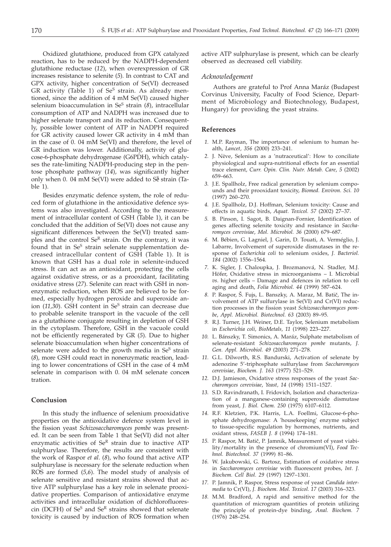Oxidized glutathione, produced from GPX catalyzed reaction, has to be reduced by the NADPH-dependent glutathione reductase (*12*), when overexpression of GR increases resistance to selenite (*5*). In contrast to CAT and GPX activity, higher concentration of Se(VI) decreased GR activity (Table 1) of  $Se<sup>S</sup>$  strain. As already mentioned, since the addition of 4 mM Se(VI) caused higher selenium bioaccumulation in Se<sup>S</sup> strain (8), intracellular consumption of ATP and NADPH was increased due to higher selenate transport and its reduction. Consequently, possible lower content of ATP in NADPH required for GR activity caused lower GR activity in 4 mM than in the case of 0. 04 mM Se(VI) and therefore, the level of GR induction was lower. Additionally, activity of glucose-6-phosphate dehydrogenase (G6PDH), which catalyses the rate-limiting NADPH-producing step in the pentose phosphate pathway (*14*), was significantly higher only when  $0.04$  mM Se(VI) were added to S $\delta$  strain (Table 1).

Besides enzymatic defence system, the role of reduced form of glutathione in the antioxidative defence systems was also investigated. According to the measurement of intracellular content of GSH (Table 1), it can be concluded that the addition of Se(VI) does not cause any significant differences between the Se(VI) treated samples and the control  $Se^{R}$  strain. On the contrary, it was found that in Se<sup>S</sup> strain selenate supplementation decreased intracellular content of GSH (Table 1). It is known that GSH has a dual role in selenite-induced stress. It can act as an antioxidant, protecting the cells against oxidative stress, or as a prooxidant, facilitating oxidative stress (*27*). Selenite can react with GSH in nonenzymatic reduction, when ROS are believed to be formed, especially hydrogen peroxide and superoxide anion (11,30). GSH content in Se<sup>S</sup> strain can decrease due to probable selenite transport in the vacuole of the cell as a glutathione conjugate resulting in depletion of GSH in the cytoplasm. Therefore, GSH in the vacuole could not be efficiently regenerated by GR (*5*). Due to higher selenate bioaccumulation when higher concentrations of selenate were added to the growth media in  $Se<sup>S</sup>$  strain (*8*), more GSH could react in nonenzymatic reaction, leading to lower concentrations of GSH in the case of 4 mM selenate in comparison with 0.04 mM selenate concentration.

## **Conclusion**

In this study the influence of selenium prooxidative properties on the antioxidative defence system level in the fission yeast *Schizosaccharomyces pombe* was presented. It can be seen from Table 1 that Se(VI) did not alter enzymatic activities of  $Se^{R}$  strain due to inactive ATP sulphurylase. Therefore, the results are consistent with the work of Raspor *et al*. (*8*), who found that active ATP sulphurylase is necessary for the selenate reduction when ROS are formed (*5,6*). The model study of analysis of selenate sensitive and resistant strains showed that active ATP sulphurylase has a key role in selenate prooxidative properties. Comparison of antioxidative enzyme activities and intracellular oxidation of dichlorofluorescin (DCFH) of  $Se^S$  and  $Se^R$  strains showed that selenate toxicity is caused by induction of ROS formation when

active ATP sulphurylase is present, which can be clearly observed as decreased cell viability.

### *Acknowledgement*

Authors are grateful to Prof Anna Maráz (Budapest Corvinus University, Faculty of Food Science, Department of Microbiology and Biotechnology, Budapest, Hungary) for providing the yeast strains.

## **References**

- *1.* M.P. Rayman, The importance of selenium to human health, *Lancet, 356* (2000) 233–241.
- *2.* J. Nève, Selenium as a 'nutraceutical': How to conciliate physiological and supra-nutritional effects for an essential trace element, *Curr. Opin. Clin. Nutr. Metab. Care*, *5* (2002) 659–663.
- *3.* J.E. Spallholz, Free radical generation by selenium compounds and their prooxidant toxicity, *Biomed. Environ. Sci. 10* (1997) 260–270.
- *4.* J.E. Spallholz, D.J. Hoffman, Selenium toxicity: Cause and effects in aquatic birds, *Aquat. Toxicol. 57* (2002) 27–37.
- *5.* B. Pinson, I. Sagot, B. Daignan-Fornier, Identification of genes affecting selenite toxicity and resistance in *Saccharomyces cerevisiae*, *Mol. Microbiol. 36* (2000) 679–687.
- *6.* M. Bébien, G. Lagniel, J. Garin, D. Touati, A. Verméglio, J. Labarre, Involvement of superoxide dismutases in the response of *Escherichia coli* to selenium oxides, *J. Bacteriol. 184* (2002) 1556–1564.
- *7.* K. Sigler, J. Chaloupka, J. Brozmanová, N. Stadler, M.J. Höfer, Oxidative stress in microorganisms – I. Microbial *vs*. higher cells – Damage and defences in relation to cell aging and death, *Folia Microbiol. 44* (1999) 587–624.
- 8. P. Raspor, Š. Fujs, L. Banszky, A. Maraz, M. Batič, The involvement of ATP sulfurylase in Se(VI) and Cr(VI) reduction processes in the fission yeast *Schizosaccharomyces pombe*, *Appl. Microbiol. Biotechnol. 63* (2003) 89–95.
- *9.* R.J. Turner, J.H. Weiner, D.E. Taylor, Selenium metabolism in *Escherichia coli*, *BioMetals, 11* (1998) 223–227.
- *10.* L. Bánszky, T. Simonics, A. Maráz, Sulphate metabolism of selenate-resistant *Schizosaccharomyces pombe* mutants, *J. Gen. Appl. Microbiol. 49* (2003) 271–278.
- *11.* G.L. Dilworth, R.S. Bandurski, Activation of selenate by adenozine 5'-triphosphate sulfurylase from *Saccharomyces cerevisiae*, *Biochem. J. 163* (1977) 521–529.
- *12.* D.J. Jamieson, Oxidative stress responses of the yeast *Saccharomyces cerevisiae*, *Yeast, 14* (1998) 1511–1527.
- *13.* S.D. Ravindranath, I. Fridovich, Isolation and characterization of a manganese-containing superoxide dismutase from yeast, *J. Biol. Chem. 250* (1975) 6107–6112.
- *14.* R.F. Kletzien, P.K. Harris, L.A. Foellmi, Glucose-6-phosphate dehydrogenase: A 'housekeeping' enzyme subject to tissue-specific regulation by hormones, nutrients, and oxidant stress, *FASEB J. 8* (1994) 174–181.
- 15. P. Raspor, M. Batič, P. Jamnik, Measurement of yeast viability/mortality in the presence of chromium(VI), *Food Technol. Biotechnol. 37* (1999) 81–86.
- *16.* W. Jakubowski, G. Bartosz, Estimation of oxidative stress in *Saccharomyces cerevisiae* with fluorescent probes, *Int. J. Biochem. Cell Biol. 29* (1997) 1297–1301.
- *17.* P. Jamnik, P. Raspor, Stress response of yeast *Candida intermedia* to Cr(VI), *J. Biochem. Mol. Toxicol. 17* (2003) 316–323.
- *18.* M.M. Bradford, A rapid and sensitive method for the quantitation of microgram quantities of protein utilizing the principle of protein-dye binding, *Anal. Biochem.* (1976) 248–254.